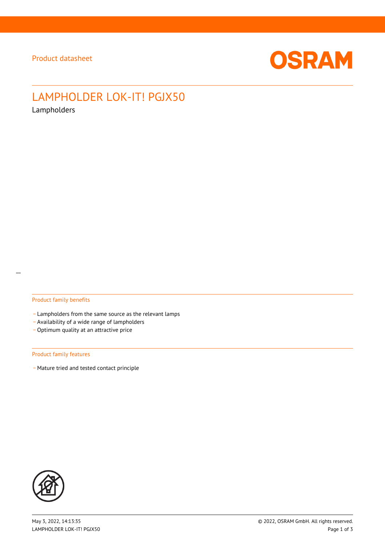

# LAMPHOLDER LOK-IT! PGJX50

Lampholders

### Product family benefits

- Lampholders from the same source as the relevant lamps
- \_ Availability of a wide range of lampholders
- Optimum quality at an attractive price

#### Product family features

- Mature tried and tested contact principle

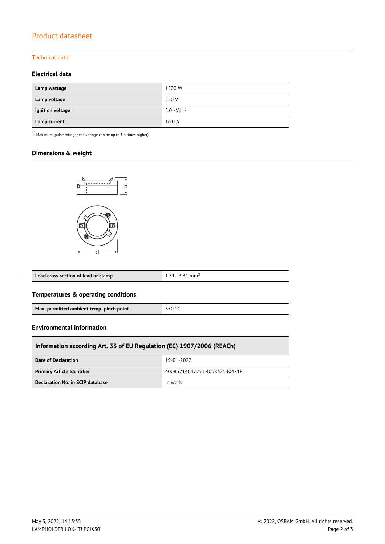# Product datasheet

## Technical data

## **Electrical data**

| Lamp wattage     | 1500 W          |
|------------------|-----------------|
| Lamp voltage     | 250 V           |
| Ignition voltage | 5.0 kVp $^{1)}$ |
| Lamp current     | 16.0 A          |

 $1)$  Maximum (pulse rating; peak voltage can be up to 1.4 times higher)

## **Dimensions & weight**



| Lead cross section of lead or clamp | $1.313.31$ mm <sup>2</sup> |  |
|-------------------------------------|----------------------------|--|
|                                     |                            |  |

## **Temperatures & operating conditions**

#### **Environmental information**

 $\overline{a}$ 

| Information according Art. 33 of EU Regulation (EC) 1907/2006 (REACh) |                               |  |  |  |  |
|-----------------------------------------------------------------------|-------------------------------|--|--|--|--|
| Date of Declaration                                                   | 19-01-2022                    |  |  |  |  |
| <b>Primary Article Identifier</b>                                     | 4008321404725   4008321404718 |  |  |  |  |
| Declaration No. in SCIP database                                      | In work                       |  |  |  |  |